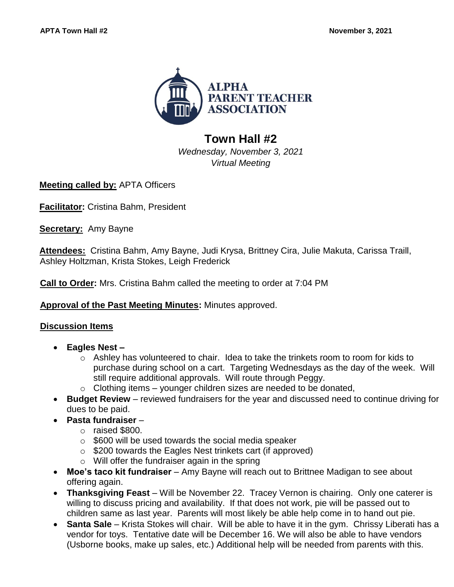

## **Town Hall #2**

*Wednesday, November 3, 2021 Virtual Meeting*

**Meeting called by:** APTA Officers

**Facilitator:** Cristina Bahm, President

**Secretary:** Amy Bayne

**Attendees:** Cristina Bahm, Amy Bayne, Judi Krysa, Brittney Cira, Julie Makuta, Carissa Traill, Ashley Holtzman, Krista Stokes, Leigh Frederick

**Call to Order:** Mrs. Cristina Bahm called the meeting to order at 7:04 PM

## **Approval of the Past Meeting Minutes:** Minutes approved.

## **Discussion Items**

- **Eagles Nest –**
	- $\circ$  Ashley has volunteered to chair. Idea to take the trinkets room to room for kids to purchase during school on a cart.Targeting Wednesdays as the day of the week. Will still require additional approvals. Will route through Peggy.
	- $\circ$  Clothing items younger children sizes are needed to be donated,
- **Budget Review**  reviewed fundraisers for the year and discussed need to continue driving for dues to be paid.
- **Pasta fundraiser** 
	- o raised \$800.
	- $\circ$  \$600 will be used towards the social media speaker
	- o \$200 towards the Eagles Nest trinkets cart (if approved)
	- $\circ$  Will offer the fundraiser again in the spring
- **Moe's taco kit fundraiser** Amy Bayne will reach out to Brittnee Madigan to see about offering again.
- **Thanksgiving Feast** Will be November 22. Tracey Vernon is chairing. Only one caterer is willing to discuss pricing and availability. If that does not work, pie will be passed out to children same as last year. Parents will most likely be able help come in to hand out pie.
- **Santa Sale** Krista Stokes will chair. Will be able to have it in the gym. Chrissy Liberati has a vendor for toys.Tentative date will be December 16. We will also be able to have vendors (Usborne books, make up sales, etc.) Additional help will be needed from parents with this.